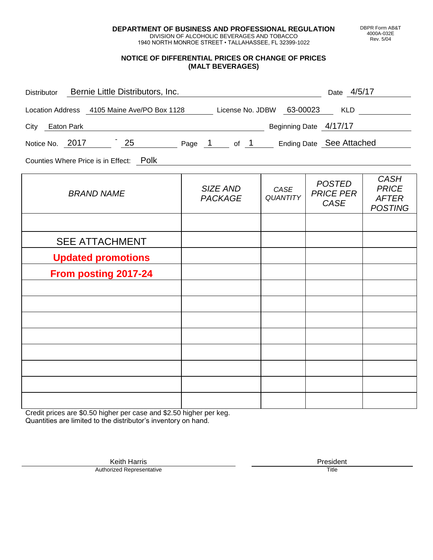**DEPARTMENT OF BUSINESS AND PROFESSIONAL REGULATION** DIVISION OF ALCOHOLIC BEVERAGES AND TOBACCO

1940 NORTH MONROE STREET • TALLAHASSEE, FL 32399-1022

#### **NOTICE OF DIFFERENTIAL PRICES OR CHANGE OF PRICES (MALT BEVERAGES)**

| Distributor Bernie Little Distributors, Inc.                                                                                                                                                                                                          | <u> 1980 - Johann Barbara, martin a</u> |                         | Date 4/5/17                               |                                                               |
|-------------------------------------------------------------------------------------------------------------------------------------------------------------------------------------------------------------------------------------------------------|-----------------------------------------|-------------------------|-------------------------------------------|---------------------------------------------------------------|
| Location Address 4105 Maine Ave/PO Box 1128 License No. JDBW 63-00023 KLD                                                                                                                                                                             |                                         |                         |                                           |                                                               |
| <b>Example 2016</b> The Contract of Terms 2016 Contract 2016 The Contract 2016 The Contract 2016 The Contract 2016 The Contract 2016 The Contract 2016 The Contract 2016 The Contract 2016 The Contract 2016 The Contract 2016 The<br>City Eaton Park |                                         |                         |                                           |                                                               |
| Notice No. 2017 25 Page 1 of 1 Ending Date See Attached                                                                                                                                                                                               |                                         |                         |                                           |                                                               |
| Counties Where Price is in Effect: Polk                                                                                                                                                                                                               |                                         |                         |                                           |                                                               |
| <b>BRAND NAME</b>                                                                                                                                                                                                                                     | SIZE AND<br><b>PACKAGE</b>              | CASE<br><b>QUANTITY</b> | <b>POSTED</b><br><b>PRICE PER</b><br>CASE | <b>CASH</b><br><b>PRICE</b><br><b>AFTER</b><br><b>POSTING</b> |
|                                                                                                                                                                                                                                                       |                                         |                         |                                           |                                                               |
| <b>SEE ATTACHMENT</b>                                                                                                                                                                                                                                 |                                         |                         |                                           |                                                               |
| <b>Updated promotions</b>                                                                                                                                                                                                                             |                                         |                         |                                           |                                                               |
| From posting 2017-24                                                                                                                                                                                                                                  |                                         |                         |                                           |                                                               |
|                                                                                                                                                                                                                                                       |                                         |                         |                                           |                                                               |
|                                                                                                                                                                                                                                                       |                                         |                         |                                           |                                                               |
|                                                                                                                                                                                                                                                       |                                         |                         |                                           |                                                               |
|                                                                                                                                                                                                                                                       |                                         |                         |                                           |                                                               |
|                                                                                                                                                                                                                                                       |                                         |                         |                                           |                                                               |
|                                                                                                                                                                                                                                                       |                                         |                         |                                           |                                                               |
|                                                                                                                                                                                                                                                       |                                         |                         |                                           |                                                               |

Credit prices are \$0.50 higher per case and \$2.50 higher per keg. Quantities are limited to the distributor's inventory on hand.

> Keith Harris **President** President **President** President **President** President **President** Authorized Representative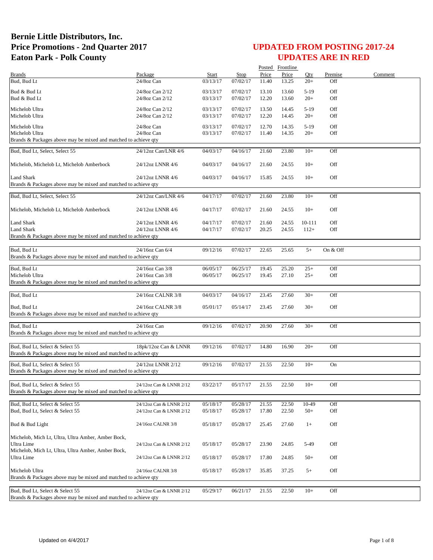|                                                                                                    |                         |              |                      |       | Posted Frontline |        |            |         |
|----------------------------------------------------------------------------------------------------|-------------------------|--------------|----------------------|-------|------------------|--------|------------|---------|
| <b>Brands</b>                                                                                      | Package                 | <b>Start</b> | Stop                 | Price | Price            | Qty    | Premise    | Comment |
| Bud, Bud Lt                                                                                        | 24/8oz Can              | 03/13/17     | 07/02/17             | 11.40 | 13.25            | $20+$  | Off        |         |
| Bud & Bud Lt                                                                                       | 24/8oz Can 2/12         | 03/13/17     | 07/02/17             | 13.10 | 13.60            | $5-19$ | Off        |         |
| Bud & Bud Lt                                                                                       | 24/8oz Can 2/12         | 03/13/17     | 07/02/17             | 12.20 | 13.60            | $20+$  | Off        |         |
|                                                                                                    |                         |              |                      |       |                  |        |            |         |
| Michelob Ultra                                                                                     | 24/8oz Can 2/12         | 03/13/17     | 07/02/17             | 13.50 | 14.45            | $5-19$ | Off<br>Off |         |
| Michelob Ultra                                                                                     | 24/8oz Can 2/12         | 03/13/17     | 07/02/17             | 12.20 | 14.45            | $20+$  |            |         |
| Michelob Ultra                                                                                     | 24/8oz Can              | 03/13/17     | 07/02/17             | 12.70 | 14.35            | $5-19$ | Off        |         |
| Michelob Ultra                                                                                     | 24/8oz Can              | 03/13/17     | 07/02/17             | 11.40 | 14.35            | $20+$  | Off        |         |
| Brands & Packages above may be mixed and matched to achieve qty                                    |                         |              |                      |       |                  |        |            |         |
| Bud, Bud Lt, Select, Select 55                                                                     | 24/12oz Can/LNR 4/6     | 04/03/17     | 04/16/17             | 21.60 | 23.80            | $10+$  | Off        |         |
|                                                                                                    |                         |              |                      |       |                  |        |            |         |
| Michelob, Michelob Lt, Michelob Amberbock                                                          | 24/12oz LNNR 4/6        | 04/03/17     | 04/16/17             | 21.60 | 24.55            | $10+$  | Off        |         |
|                                                                                                    |                         |              |                      |       |                  |        |            |         |
| <b>Land Shark</b>                                                                                  | 24/12oz LNNR 4/6        | 04/03/17     | 04/16/17             | 15.85 | 24.55            | $10+$  | Off        |         |
| Brands & Packages above may be mixed and matched to achieve qty                                    |                         |              |                      |       |                  |        |            |         |
|                                                                                                    |                         |              |                      |       |                  |        |            |         |
| Bud, Bud Lt, Select, Select 55                                                                     | 24/12oz Can/LNR 4/6     | 04/17/17     | 07/02/17             | 21.60 | 23.80            | $10+$  | Off        |         |
|                                                                                                    |                         |              |                      |       |                  |        |            |         |
| Michelob, Michelob Lt, Michelob Amberbock                                                          | 24/12oz LNNR 4/6        | 04/17/17     | 07/02/17             | 21.60 | 24.55            | $10+$  | Off        |         |
|                                                                                                    |                         |              |                      |       |                  |        |            |         |
| <b>Land Shark</b>                                                                                  | 24/12oz LNNR 4/6        | 04/17/17     | 07/02/17<br>07/02/17 | 21.60 | 24.55            | 10-111 | Off        |         |
| <b>Land Shark</b><br>Brands & Packages above may be mixed and matched to achieve qty               | 24/12oz LNNR 4/6        | 04/17/17     |                      | 20.25 | 24.55            | $112+$ | Off        |         |
|                                                                                                    |                         |              |                      |       |                  |        |            |         |
| Bud, Bud Lt                                                                                        | 24/16oz Can 6/4         | 09/12/16     | 07/02/17             | 22.65 | 25.65            | $5+$   | On & Off   |         |
| Brands & Packages above may be mixed and matched to achieve qty                                    |                         |              |                      |       |                  |        |            |         |
|                                                                                                    |                         |              |                      |       |                  |        |            |         |
| Bud, Bud Lt                                                                                        | 24/16oz Can 3/8         | 06/05/17     | 06/25/17             | 19.45 | 25.20            | $25+$  | Off        |         |
| Michelob Ultra                                                                                     | 24/16oz Can 3/8         | 06/05/17     | 06/25/17             | 19.45 | 27.10            | $25+$  | Off        |         |
| Brands & Packages above may be mixed and matched to achieve qty                                    |                         |              |                      |       |                  |        |            |         |
|                                                                                                    |                         |              |                      |       |                  |        |            |         |
| Bud, Bud Lt                                                                                        | 24/16oz CALNR 3/8       | 04/03/17     | 04/16/17             | 23.45 | 27.60            | $30+$  | Off        |         |
|                                                                                                    |                         |              |                      |       |                  |        |            |         |
| Bud, Bud Lt                                                                                        | 24/16oz CALNR 3/8       | 05/01/17     | 05/14/17             | 23.45 | 27.60            | $30+$  | Off        |         |
| Brands & Packages above may be mixed and matched to achieve qty                                    |                         |              |                      |       |                  |        |            |         |
| Bud, Bud Lt                                                                                        | 24/16oz Can             | 09/12/16     | 07/02/17             | 20.90 | 27.60            | $30+$  | Off        |         |
| Brands & Packages above may be mixed and matched to achieve qty                                    |                         |              |                      |       |                  |        |            |         |
|                                                                                                    |                         |              |                      |       |                  |        |            |         |
| Bud, Bud Lt, Select & Select 55                                                                    | 18pk/12oz Can & LNNR    | 09/12/16     | 07/02/17             | 14.80 | 16.90            | $20+$  | Off        |         |
| Brands & Packages above may be mixed and matched to achieve qty                                    |                         |              |                      |       |                  |        |            |         |
|                                                                                                    |                         |              |                      |       |                  |        |            |         |
| Bud, Bud Lt, Select & Select 55                                                                    | 24/12oz LNNR 2/12       | 09/12/16     | 07/02/17             | 21.55 | 22.50            | $10+$  | On         |         |
| Brands & Packages above may be mixed and matched to achieve qty                                    |                         |              |                      |       |                  |        |            |         |
|                                                                                                    |                         |              |                      |       |                  |        |            |         |
| Bud, Bud Lt, Select & Select 55<br>Brands & Packages above may be mixed and matched to achieve qty | 24/12oz Can & LNNR 2/12 | 03/22/17     | 05/17/17             | 21.55 | 22.50            | $10+$  | Off        |         |
|                                                                                                    |                         |              |                      |       |                  |        |            |         |
| Bud, Bud Lt, Select & Select 55                                                                    | 24/12oz Can & LNNR 2/12 | 05/18/17     | 05/28/17             | 21.55 | 22.50            | 10-49  | Off        |         |
| Bud, Bud Lt, Select & Select 55                                                                    | 24/12oz Can & LNNR 2/12 | 05/18/17     | 05/28/17             | 17.80 | 22.50            | $50+$  | Off        |         |
|                                                                                                    |                         |              |                      |       |                  |        |            |         |
| Bud & Bud Light                                                                                    | 24/16oz CALNR 3/8       | 05/18/17     | 05/28/17             | 25.45 | 27.60            | $1+$   | Off        |         |
|                                                                                                    |                         |              |                      |       |                  |        |            |         |
| Michelob, Mich Lt, Ultra, Ultra Amber, Amber Bock,                                                 |                         |              |                      |       |                  |        |            |         |
| Ultra Lime                                                                                         | 24/12oz Can & LNNR 2/12 | 05/18/17     | 05/28/17             | 23.90 | 24.85            | 5-49   | Off        |         |
| Michelob, Mich Lt, Ultra, Ultra Amber, Amber Bock,                                                 |                         |              |                      |       |                  |        |            |         |
| Ultra Lime                                                                                         | 24/12oz Can & LNNR 2/12 | 05/18/17     | 05/28/17             | 17.80 | 24.85            | $50+$  | Off        |         |
|                                                                                                    |                         |              |                      |       |                  |        |            |         |
| Michelob Ultra                                                                                     | 24/16oz CALNR 3/8       | 05/18/17     | 05/28/17             | 35.85 | 37.25            | $5+$   | Off        |         |
| Brands & Packages above may be mixed and matched to achieve qty                                    |                         |              |                      |       |                  |        |            |         |
|                                                                                                    |                         |              |                      |       |                  |        |            |         |
| Bud, Bud Lt, Select & Select 55<br>Brands & Packages above may be mixed and matched to achieve qty | 24/12oz Can & LNNR 2/12 | 05/29/17     | 06/21/17             | 21.55 | 22.50            | $10+$  | Off        |         |
|                                                                                                    |                         |              |                      |       |                  |        |            |         |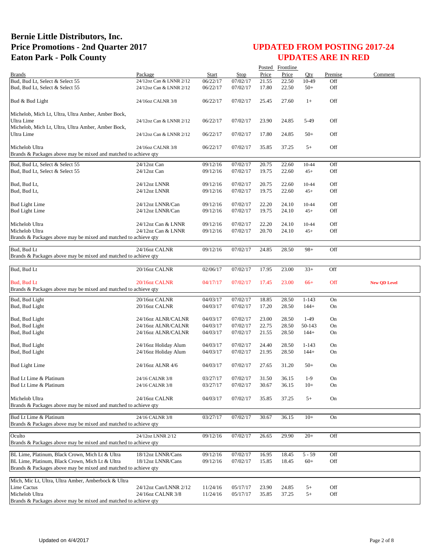|                                                                                   |                         |          |          |                | Posted Frontline |           |         |                     |
|-----------------------------------------------------------------------------------|-------------------------|----------|----------|----------------|------------------|-----------|---------|---------------------|
| <b>Brands</b>                                                                     | Package                 | Start    | Stop     | Price          | Price            | Oty       | Premise | Comment             |
| Bud, Bud Lt, Select & Select 55                                                   | 24/12oz Can & LNNR 2/12 | 06/22/17 | 07/02/17 | 21.55          | 22.50            | 10-49     | Off     |                     |
| Bud, Bud Lt, Select & Select 55                                                   | 24/12oz Can & LNNR 2/12 | 06/22/17 | 07/02/17 | 17.80          | 22.50            | $50+$     | Off     |                     |
| Bud & Bud Light                                                                   | 24/16oz CALNR 3/8       | 06/22/17 | 07/02/17 | 25.45          | 27.60            | $1+$      | Off     |                     |
| Michelob, Mich Lt, Ultra, Ultra Amber, Amber Bock,                                |                         |          |          |                |                  |           |         |                     |
| Ultra Lime                                                                        | 24/12oz Can & LNNR 2/12 | 06/22/17 | 07/02/17 | 23.90          | 24.85            | 5-49      | Off     |                     |
| Michelob, Mich Lt, Ultra, Ultra Amber, Amber Bock,                                |                         |          |          |                |                  |           |         |                     |
| Ultra Lime                                                                        | 24/12oz Can & LNNR 2/12 | 06/22/17 | 07/02/17 | 17.80          | 24.85            | $50+$     | Off     |                     |
|                                                                                   |                         |          |          |                |                  |           | Off     |                     |
| Michelob Ultra<br>Brands & Packages above may be mixed and matched to achieve qty | 24/16oz CALNR 3/8       | 06/22/17 | 07/02/17 | 35.85          | 37.25            | $5+$      |         |                     |
| Bud, Bud Lt, Select & Select 55                                                   | 24/12oz Can             | 09/12/16 | 07/02/17 | 20.75          | 22.60            | $10 - 44$ | Off     |                     |
| Bud, Bud Lt, Select & Select 55                                                   | 24/12oz Can             | 09/12/16 | 07/02/17 | 19.75          | 22.60            | $45+$     | Off     |                     |
|                                                                                   |                         |          |          |                |                  |           |         |                     |
| Bud, Bud Lt,                                                                      | 24/12oz LNNR            | 09/12/16 | 07/02/17 | 20.75          | 22.60            | 10-44     | Off     |                     |
| Bud, Bud Lt,                                                                      | 24/12oz LNNR            | 09/12/16 | 07/02/17 | 19.75          | 22.60            | $45+$     | Off     |                     |
|                                                                                   |                         |          |          |                |                  |           |         |                     |
| <b>Bud Light Lime</b>                                                             | 24/12oz LNNR/Can        | 09/12/16 | 07/02/17 | 22.20          | 24.10            | 10-44     | Off     |                     |
| <b>Bud Light Lime</b>                                                             | 24/12oz LNNR/Can        | 09/12/16 | 07/02/17 | 19.75          | 24.10            | $45+$     | Off     |                     |
|                                                                                   |                         |          |          |                |                  |           |         |                     |
| Michelob Ultra                                                                    | 24/12oz Can & LNNR      | 09/12/16 | 07/02/17 | 22.20          | 24.10            | 10-44     | Off     |                     |
| Michelob Ultra                                                                    | 24/12oz Can & LNNR      | 09/12/16 | 07/02/17 | 20.70          | 24.10            | $45+$     | Off     |                     |
| Brands & Packages above may be mixed and matched to achieve qty                   |                         |          |          |                |                  |           |         |                     |
|                                                                                   |                         |          |          |                |                  |           |         |                     |
| Bud, Bud Lt                                                                       | 24/16oz CALNR           | 09/12/16 | 07/02/17 | 24.85          | 28.50            | $98+$     | Off     |                     |
| Brands & Packages above may be mixed and matched to achieve qty                   |                         |          |          |                |                  |           |         |                     |
| Bud, Bud Lt                                                                       | 20/16oz CALNR           | 02/06/17 | 07/02/17 | 17.95          | 23.00            | $33+$     | Off     |                     |
|                                                                                   |                         |          |          |                |                  |           |         |                     |
| Bud, Bud Lt                                                                       | 20/16oz CALNR           | 04/17/17 | 07/02/17 | 17.45          | 23.00            | $66+$     | Off     | <b>New QD Level</b> |
| Brands & Packages above may be mixed and matched to achieve qty                   |                         |          |          |                |                  |           |         |                     |
| Bud, Bud Light                                                                    | 20/16oz CALNR           | 04/03/17 | 07/02/17 | 18.85          | 28.50            | $1 - 143$ | On      |                     |
| Bud, Bud Light                                                                    | 20/16oz CALNR           | 04/03/17 | 07/02/17 | 17.20          | 28.50            | $144+$    | On      |                     |
|                                                                                   |                         |          |          |                |                  |           |         |                     |
| Bud, Bud Light                                                                    | 24/16oz ALNR/CALNR      | 04/03/17 | 07/02/17 | 23.00          | 28.50            | $1-49$    | On      |                     |
| Bud, Bud Light                                                                    | 24/16oz ALNR/CALNR      | 04/03/17 | 07/02/17 | 22.75          | 28.50            | 50-143    | On      |                     |
| Bud, Bud Light                                                                    | 24/16oz ALNR/CALNR      | 04/03/17 | 07/02/17 | 21.55          | 28.50            | $144+$    | On      |                     |
|                                                                                   |                         |          |          |                |                  |           |         |                     |
| Bud, Bud Light                                                                    | 24/16oz Holiday Alum    | 04/03/17 | 07/02/17 | 24.40          | 28.50            | $1 - 143$ | On      |                     |
| Bud, Bud Light                                                                    | 24/16oz Holiday Alum    | 04/03/17 | 07/02/17 | 21.95          | 28.50            | $144+$    | On      |                     |
|                                                                                   |                         |          |          |                |                  |           |         |                     |
| <b>Bud Light Lime</b>                                                             | 24/16oz ALNR 4/6        | 04/03/17 | 07/02/17 | 27.65          | 31.20            | $50+$     | On      |                     |
|                                                                                   |                         |          |          |                |                  |           |         |                     |
| Bud Lt Lime & Platinum                                                            | 24/16 CALNR 3/8         | 03/27/17 | 07/02/17 | 31.50          | 36.15            | $1-9$     | On      |                     |
| Bud Lt Lime & Platinum                                                            | 24/16 CALNR 3/8         | 03/27/17 | 07/02/17 | 30.67          | 36.15            | $10+$     | On      |                     |
|                                                                                   |                         |          |          |                |                  |           |         |                     |
| Michelob Ultra                                                                    | 24/16oz CALNR           | 04/03/17 | 07/02/17 | 35.85          | 37.25            | $5+$      | On      |                     |
| Brands & Packages above may be mixed and matched to achieve qty                   |                         |          |          |                |                  |           |         |                     |
| Bud Lt Lime & Platinum                                                            | 24/16 CALNR 3/8         | 03/27/17 | 07/02/17 | 30.67          | 36.15            | $10+$     | On      |                     |
| Brands & Packages above may be mixed and matched to achieve qty                   |                         |          |          |                |                  |           |         |                     |
|                                                                                   |                         |          |          |                |                  |           |         |                     |
| Oculto                                                                            | 24/12oz LNNR 2/12       | 09/12/16 | 07/02/17 | 26.65          | 29.90            | $20+$     | Off     |                     |
| Brands & Packages above may be mixed and matched to achieve gty                   |                         |          |          |                |                  |           |         |                     |
| BL Lime, Platinum, Black Crown, Mich Lt & Ultra                                   | 18/12oz LNNR/Cans       | 09/12/16 | 07/02/17 |                |                  | $5 - 59$  | Off     |                     |
| BL Lime, Platinum, Black Crown, Mich Lt & Ultra                                   | 18/12oz LNNR/Cans       | 09/12/16 | 07/02/17 | 16.95<br>15.85 | 18.45<br>18.45   | $60+$     | Off     |                     |
| Brands & Packages above may be mixed and matched to achieve qty                   |                         |          |          |                |                  |           |         |                     |
|                                                                                   |                         |          |          |                |                  |           |         |                     |
| Mich, Mic Lt, Ultra, Ultra Amber, Amberbock & Ultra                               |                         |          |          |                |                  |           |         |                     |
| Lime Cactus                                                                       | 24/12oz Can/LNNR 2/12   | 11/24/16 | 05/17/17 | 23.90          | 24.85            | $5+$      | Off     |                     |
| Michelob Ultra                                                                    | 24/16oz CALNR 3/8       | 11/24/16 | 05/17/17 | 35.85          | 37.25            | $5+$      | Off     |                     |
| Brands & Packages above may be mixed and matched to achieve qty                   |                         |          |          |                |                  |           |         |                     |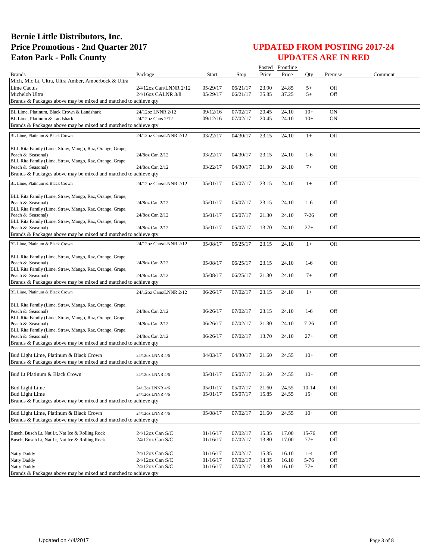|                                                                               |                        |          |          |       | Posted Frontline |           |         |         |
|-------------------------------------------------------------------------------|------------------------|----------|----------|-------|------------------|-----------|---------|---------|
| <b>Brands</b>                                                                 | Package                | Start    | Stop     | Price | Price            | Oty       | Premise | Comment |
| Mich, Mic Lt, Ultra, Ultra Amber, Amberbock & Ultra                           |                        |          |          |       |                  |           |         |         |
| <b>Lime Cactus</b>                                                            | 24/12oz Can/LNNR 2/12  | 05/29/17 | 06/21/17 | 23.90 | 24.85            | $5+$      | Off     |         |
| Michelob Ultra                                                                | 24/16oz CALNR 3/8      | 05/29/17 | 06/21/17 | 35.85 | 37.25            | $5+$      | Off     |         |
| Brands & Packages above may be mixed and matched to achieve qty               |                        |          |          |       |                  |           |         |         |
| BL Lime, Platinum, Black Crown & Landshark                                    | 24/12oz LNNR 2/12      | 09/12/16 | 07/02/17 | 20.45 | 24.10            | $10+$     | ON      |         |
| BL Lime, Platinum & Landshark                                                 | 24/12oz Cans 2/12      | 09/12/16 | 07/02/17 | 20.45 | 24.10            | $10+$     | ON      |         |
| Brands & Packages above may be mixed and matched to achieve qty               |                        |          |          |       |                  |           |         |         |
| BL Lime, Platinum & Black Crown                                               | 24/12oz Cans/LNNR 2/12 | 03/22/17 | 04/30/17 | 23.15 | 24.10            | $1+$      | Off     |         |
|                                                                               |                        |          |          |       |                  |           |         |         |
| BLL Rita Family (Lime, Straw, Mango, Raz, Orange, Grape,                      |                        |          |          |       |                  |           |         |         |
| Peach & Seasonal)                                                             | 24/8oz Can 2/12        | 03/22/17 | 04/30/17 | 23.15 | 24.10            | $1-6$     | Off     |         |
| BLL Rita Family (Lime, Straw, Mango, Raz, Orange, Grape,                      |                        |          |          |       |                  |           |         |         |
| Peach & Seasonal)                                                             | 24/8oz Can 2/12        | 03/22/17 | 04/30/17 | 21.30 | 24.10            | $7+$      | Off     |         |
| Brands & Packages above may be mixed and matched to achieve qty               |                        |          |          |       |                  |           |         |         |
| BL Lime, Platinum & Black Crown                                               | 24/12oz Cans/LNNR 2/12 | 05/01/17 | 05/07/17 | 23.15 | 24.10            | $1+$      | Off     |         |
| BLL Rita Family (Lime, Straw, Mango, Raz, Orange, Grape,                      |                        |          |          |       |                  |           |         |         |
| Peach & Seasonal)                                                             | 24/8oz Can 2/12        | 05/01/17 | 05/07/17 | 23.15 | 24.10            | $1-6$     | Off     |         |
| BLL Rita Family (Lime, Straw, Mango, Raz, Orange, Grape,                      |                        |          |          |       |                  |           |         |         |
| Peach & Seasonal)                                                             | 24/8oz Can 2/12        | 05/01/17 | 05/07/17 | 21.30 | 24.10            | $7 - 26$  | Off     |         |
| BLL Rita Family (Lime, Straw, Mango, Raz, Orange, Grape,                      |                        |          |          |       |                  |           |         |         |
| Peach & Seasonal)                                                             | 24/8oz Can 2/12        | 05/01/17 | 05/07/17 | 13.70 | 24.10            | $27+$     | Off     |         |
| Brands & Packages above may be mixed and matched to achieve qty               |                        |          |          |       |                  |           |         |         |
| BL Lime, Platinum & Black Crown                                               | 24/12oz Cans/LNNR 2/12 | 05/08/17 | 06/25/17 | 23.15 | 24.10            | $1+$      | Off     |         |
|                                                                               |                        |          |          |       |                  |           |         |         |
| BLL Rita Family (Lime, Straw, Mango, Raz, Orange, Grape,                      |                        |          | 06/25/17 |       |                  |           |         |         |
| Peach & Seasonal)<br>BLL Rita Family (Lime, Straw, Mango, Raz, Orange, Grape, | 24/8oz Can 2/12        | 05/08/17 |          | 23.15 | 24.10            | $1-6$     | Off     |         |
| Peach & Seasonal)                                                             | 24/8oz Can 2/12        | 05/08/17 | 06/25/17 | 21.30 | 24.10            | $7+$      | Off     |         |
| Brands & Packages above may be mixed and matched to achieve qty               |                        |          |          |       |                  |           |         |         |
| BL Lime, Platinum & Black Crown                                               | 24/12oz Cans/LNNR 2/12 | 06/26/17 | 07/02/17 | 23.15 | 24.10            | $1+$      | Off     |         |
|                                                                               |                        |          |          |       |                  |           |         |         |
| BLL Rita Family (Lime, Straw, Mango, Raz, Orange, Grape,                      |                        |          |          |       |                  |           |         |         |
| Peach & Seasonal)                                                             | 24/8oz Can 2/12        | 06/26/17 | 07/02/17 | 23.15 | 24.10            | $1-6$     | Off     |         |
| BLL Rita Family (Lime, Straw, Mango, Raz, Orange, Grape,                      |                        |          |          |       |                  |           |         |         |
| Peach & Seasonal)                                                             | 24/8oz Can 2/12        | 06/26/17 | 07/02/17 | 21.30 | 24.10            | $7 - 26$  | Off     |         |
| BLL Rita Family (Lime, Straw, Mango, Raz, Orange, Grape,<br>Peach & Seasonal) | 24/8oz Can 2/12        | 06/26/17 | 07/02/17 | 13.70 | 24.10            | $27+$     | Off     |         |
| Brands & Packages above may be mixed and matched to achieve qty               |                        |          |          |       |                  |           |         |         |
|                                                                               |                        |          |          |       |                  |           |         |         |
| Bud Light Lime, Platinum & Black Crown                                        | 24/12oz LNNR 4/6       | 04/03/17 | 04/30/17 | 21.60 | 24.55            | $10+$     | Off     |         |
| Brands & Packages above may be mixed and matched to achieve qty               |                        |          |          |       |                  |           |         |         |
| Bud Lt Platinum & Black Crown                                                 |                        |          |          |       |                  |           | Off     |         |
|                                                                               | 24/12oz LNNR 4/6       | 05/01/17 | 05/07/17 | 21.60 | 24.55            | $10+$     |         |         |
| <b>Bud Light Lime</b>                                                         | 24/12oz LNNR 4/6       | 05/01/17 | 05/07/17 | 21.60 | 24.55            | $10 - 14$ | Off     |         |
| <b>Bud Light Lime</b>                                                         | 24/12oz LNNR 4/6       | 05/01/17 | 05/07/17 | 15.85 | 24.55            | $15+$     | Off     |         |
| Brands & Packages above may be mixed and matched to achieve qty               |                        |          |          |       |                  |           |         |         |
|                                                                               |                        |          |          |       |                  |           |         |         |
| Bud Light Lime, Platinum & Black Crown                                        | 24/12oz LNNR 4/6       | 05/08/17 | 07/02/17 | 21.60 | 24.55            | $10+$     | Off     |         |
| Brands & Packages above may be mixed and matched to achieve qty               |                        |          |          |       |                  |           |         |         |
| Busch, Busch Lt, Nat Lt, Nat Ice & Rolling Rock                               | $24/12$ oz Can S/C     | 01/16/17 | 07/02/17 | 15.35 | 17.00            | 15-76     | Off     |         |
| Busch, Busch Lt, Nat Lt, Nat Ice & Rolling Rock                               | 24/12oz Can S/C        | 01/16/17 | 07/02/17 | 13.80 | 17.00            | $77+$     | Off     |         |
|                                                                               |                        |          |          |       |                  |           |         |         |
| Natty Daddy                                                                   | 24/12oz Can S/C        | 01/16/17 | 07/02/17 | 15.35 | 16.10            | $1 - 4$   | Off     |         |
| <b>Natty Daddy</b>                                                            | 24/12oz Can S/C        | 01/16/17 | 07/02/17 | 14.35 | 16.10            | 5-76      | Off     |         |
| Natty Daddy                                                                   | 24/12oz Can S/C        | 01/16/17 | 07/02/17 | 13.80 | 16.10            | $77+$     | Off     |         |
| Brands & Packages above may be mixed and matched to achieve qty               |                        |          |          |       |                  |           |         |         |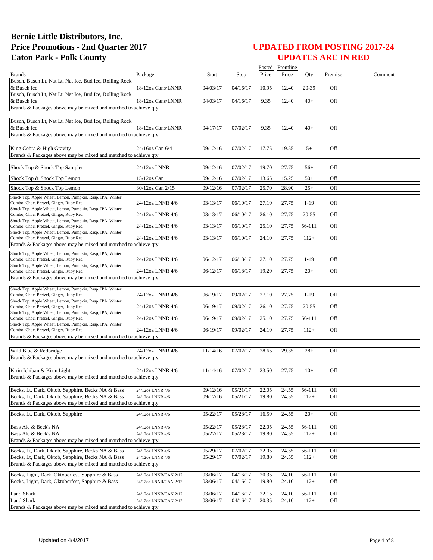|                                                                                                                                           |                       |          |          |       | Posted Frontline   |           |         |         |
|-------------------------------------------------------------------------------------------------------------------------------------------|-----------------------|----------|----------|-------|--------------------|-----------|---------|---------|
| <b>Brands</b>                                                                                                                             | Package               | Start    | Stop     | Price | Price              | Oty       | Premise | Comment |
| Busch, Busch Lt, Nat Lt, Nat Ice, Bud Ice, Rolling Rock<br>& Busch Ice                                                                    | 18/12oz Cans/LNNR     | 04/03/17 | 04/16/17 | 10.95 | 12.40              | 20-39     | Off     |         |
| Busch, Busch Lt, Nat Lt, Nat Ice, Bud Ice, Rolling Rock<br>& Busch Ice<br>Brands & Packages above may be mixed and matched to achieve qty | 18/12oz Cans/LNNR     | 04/03/17 | 04/16/17 | 9.35  | 12.40              | $40+$     | Off     |         |
|                                                                                                                                           |                       |          |          |       |                    |           |         |         |
| Busch, Busch Lt, Nat Lt, Nat Ice, Bud Ice, Rolling Rock<br>& Busch Ice<br>Brands & Packages above may be mixed and matched to achieve qty | 18/12oz Cans/LNNR     | 04/17/17 | 07/02/17 | 9.35  | 12.40              | $40+$     | Off     |         |
|                                                                                                                                           |                       |          |          |       |                    |           |         |         |
| King Cobra & High Gravity<br>Brands & Packages above may be mixed and matched to achieve qty                                              | 24/16oz Can 6/4       | 09/12/16 | 07/02/17 | 17.75 | 19.55              | $5+$      | Off     |         |
| Shock Top & Shock Top Sampler                                                                                                             | 24/12oz LNNR          | 09/12/16 | 07/02/17 | 19.70 | 27.75              | $56+$     | Off     |         |
| Shock Top & Shock Top Lemon                                                                                                               | $15/12$ oz Can        | 09/12/16 | 07/02/17 | 13.65 | 15.25              | $50+$     | Off     |         |
| Shock Top & Shock Top Lemon                                                                                                               | 30/12oz Can 2/15      | 09/12/16 | 07/02/17 | 25.70 | 28.90              | $25+$     | Off     |         |
| Shock Top, Apple Wheat, Lemon, Pumpkin, Rasp, IPA, Winter<br>Combo, Choc, Pretzel, Ginger, Ruby Red                                       | 24/12oz LNNR 4/6      | 03/13/17 | 06/10/17 | 27.10 | 27.75              | $1-19$    | Off     |         |
| Shock Top, Apple Wheat, Lemon, Pumpkin, Rasp, IPA, Winter<br>Combo, Choc, Pretzel, Ginger, Ruby Red                                       | 24/12oz LNNR 4/6      | 03/13/17 | 06/10/17 | 26.10 | 27.75              | $20 - 55$ | Off     |         |
| Shock Top, Apple Wheat, Lemon, Pumpkin, Rasp, IPA, Winter<br>Combo, Choc, Pretzel, Ginger, Ruby Red                                       | 24/12oz LNNR 4/6      | 03/13/17 | 06/10/17 | 25.10 | 27.75              | 56-111    | Off     |         |
| Shock Top, Apple Wheat, Lemon, Pumpkin, Rasp, IPA, Winter                                                                                 |                       |          |          |       |                    |           |         |         |
| Combo, Choc, Pretzel, Ginger, Ruby Red<br>Brands & Packages above may be mixed and matched to achieve qty                                 | 24/12oz LNNR 4/6      | 03/13/17 | 06/10/17 | 24.10 | 27.75              | $112+$    | Off     |         |
| Shock Top, Apple Wheat, Lemon, Pumpkin, Rasp, IPA, Winter<br>Combo, Choc, Pretzel, Ginger, Ruby Red                                       | 24/12oz LNNR 4/6      | 06/12/17 | 06/18/17 | 27.10 | 27.75              | $1-19$    | Off     |         |
| Shock Top, Apple Wheat, Lemon, Pumpkin, Rasp, IPA, Winter                                                                                 |                       |          |          |       |                    |           |         |         |
| Combo, Choc, Pretzel, Ginger, Ruby Red<br>Brands & Packages above may be mixed and matched to achieve qty                                 | 24/12oz LNNR 4/6      | 06/12/17 | 06/18/17 | 19.20 | 27.75              | $20+$     | Off     |         |
|                                                                                                                                           |                       |          |          |       |                    |           |         |         |
| Shock Top, Apple Wheat, Lemon, Pumpkin, Rasp, IPA, Winter<br>Combo, Choc, Pretzel, Ginger, Ruby Red                                       | 24/12oz LNNR 4/6      | 06/19/17 | 09/02/17 | 27.10 | 27.75              | $1-19$    | Off     |         |
| Shock Top, Apple Wheat, Lemon, Pumpkin, Rasp, IPA, Winter<br>Combo, Choc, Pretzel, Ginger, Ruby Red                                       | 24/12oz LNNR 4/6      | 06/19/17 | 09/02/17 | 26.10 | 27.75              | $20 - 55$ | Off     |         |
| Shock Top, Apple Wheat, Lemon, Pumpkin, Rasp, IPA, Winter<br>Combo, Choc, Pretzel, Ginger, Ruby Red                                       | 24/12oz LNNR 4/6      | 06/19/17 | 09/02/17 | 25.10 | 27.75              | 56-111    | Off     |         |
| Shock Top, Apple Wheat, Lemon, Pumpkin, Rasp, IPA, Winter<br>Combo, Choc, Pretzel, Ginger, Ruby Red                                       | 24/12oz LNNR 4/6      | 06/19/17 | 09/02/17 | 24.10 | 27.75              | $112+$    | Off     |         |
| Brands & Packages above may be mixed and matched to achieve qty                                                                           |                       |          |          |       |                    |           |         |         |
| Wild Blue & Redbridge<br>Brands & Packages above may be mixed and matched to achieve qty                                                  | 24/12oz LNNR 4/6      | 11/14/16 | 07/02/17 | 28.65 | 29.35              | $28+$     | Off     |         |
| Kirin Ichiban & Kirin Light                                                                                                               | 24/12oz LNNR 4/6      | 11/14/16 | 07/02/17 | 23.50 | 27.75              | $10+$     | Off     |         |
| Brands & Packages above may be mixed and matched to achieve qty                                                                           |                       |          |          |       |                    |           |         |         |
| Becks, Lt, Dark, Oktob, Sapphire, Becks NA & Bass                                                                                         | 24/12oz LNNR 4/6      | 09/12/16 | 05/21/17 | 22.05 | 24.55              | 56-111    | Off     |         |
| Becks, Lt, Dark, Oktob, Sapphire, Becks NA & Bass<br>Brands & Packages above may be mixed and matched to achieve qty                      | 24/12oz LNNR 4/6      | 09/12/16 | 05/21/17 | 19.80 | 24.55              | $112+$    | Off     |         |
|                                                                                                                                           |                       |          |          |       |                    |           |         |         |
| Becks, Lt, Dark, Oktob, Sapphire                                                                                                          | 24/12oz LNNR 4/6      | 05/22/17 | 05/28/17 | 16.50 | $\overline{24.55}$ | $20+$     | Off     |         |
| Bass Ale & Beck's NA                                                                                                                      | 24/12oz LNNR 4/6      | 05/22/17 | 05/28/17 | 22.05 | 24.55              | 56-111    | Off     |         |
| Bass Ale & Beck's NA                                                                                                                      | 24/12oz LNNR 4/6      | 05/22/17 | 05/28/17 | 19.80 | 24.55              | $112+$    | Off     |         |
| Brands & Packages above may be mixed and matched to achieve qty                                                                           |                       |          |          |       |                    |           |         |         |
| Becks, Lt, Dark, Oktob, Sapphire, Becks NA & Bass                                                                                         | 24/12oz LNNR 4/6      | 05/29/17 | 07/02/17 | 22.05 | 24.55              | 56-111    | Off     |         |
| Becks, Lt, Dark, Oktob, Sapphire, Becks NA & Bass<br>Brands & Packages above may be mixed and matched to achieve gty                      | 24/12oz LNNR 4/6      | 05/29/17 | 07/02/17 | 19.80 | 24.55              | $112+$    | Off     |         |
| Becks, Light, Dark, Oktoberfest, Sapphire & Bass                                                                                          | 24/12oz LNNR/CAN 2/12 | 03/06/17 | 04/16/17 | 20.35 | 24.10              | 56-111    | Off     |         |
| Becks, Light, Dark, Oktoberfest, Sapphire & Bass                                                                                          | 24/12oz LNNR/CAN 2/12 | 03/06/17 | 04/16/17 | 19.80 | 24.10              | $112+$    | Off     |         |
| <b>Land Shark</b>                                                                                                                         | 24/12oz LNNR/CAN 2/12 | 03/06/17 | 04/16/17 | 22.15 | 24.10              | 56-111    | Off     |         |
| <b>Land Shark</b>                                                                                                                         | 24/12oz LNNR/CAN 2/12 | 03/06/17 | 04/16/17 | 20.35 | 24.10              | $112+$    | Off     |         |
| Brands & Packages above may be mixed and matched to achieve qty                                                                           |                       |          |          |       |                    |           |         |         |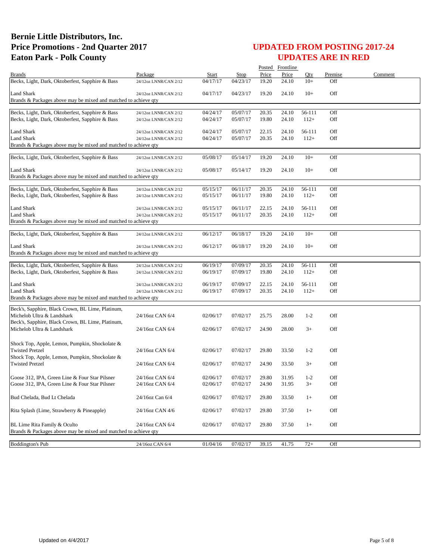|                                                                                                  |                                    |                      |                      |                | Posted Frontline |                 |            |         |
|--------------------------------------------------------------------------------------------------|------------------------------------|----------------------|----------------------|----------------|------------------|-----------------|------------|---------|
| <b>Brands</b>                                                                                    | Package                            | Start                | Stop                 | Price          | Price            | Oty             | Premise    | Comment |
| Becks, Light, Dark, Oktoberfest, Sapphire & Bass                                                 | 24/12oz LNNR/CAN 2/12              | 04/17/17             | 04/23/17             | 19.20          | 24.10            | $10+$           | Off        |         |
| Land Shark                                                                                       | 24/12oz LNNR/CAN 2/12              | 04/17/17             | 04/23/17             | 19.20          | 24.10            | $10+$           | Off        |         |
| Brands & Packages above may be mixed and matched to achieve qty                                  |                                    |                      |                      |                |                  |                 |            |         |
|                                                                                                  |                                    |                      |                      |                |                  |                 |            |         |
| Becks, Light, Dark, Oktoberfest, Sapphire & Bass                                                 | 24/12oz LNNR/CAN 2/12              | 04/24/17             | 05/07/17             | 20.35          | 24.10            | 56-111          | Off        |         |
| Becks, Light, Dark, Oktoberfest, Sapphire & Bass                                                 | 24/12oz LNNR/CAN 2/12              | 04/24/17             | 05/07/17             | 19.80          | 24.10            | $112+$          | Off        |         |
| Land Shark                                                                                       | 24/12oz LNNR/CAN 2/12              | 04/24/17             | 05/07/17             | 22.15          | 24.10            | 56-111          | Off        |         |
| Land Shark                                                                                       | 24/12oz LNNR/CAN 2/12              | 04/24/17             | 05/07/17             | 20.35          | 24.10            | $112+$          | Off        |         |
| Brands & Packages above may be mixed and matched to achieve qty                                  |                                    |                      |                      |                |                  |                 |            |         |
|                                                                                                  |                                    |                      |                      |                |                  |                 |            |         |
| Becks, Light, Dark, Oktoberfest, Sapphire & Bass                                                 | 24/12oz LNNR/CAN 2/12              | 05/08/17             | 05/14/17             | 19.20          | 24.10            | $10+$           | Off        |         |
| <b>Land Shark</b>                                                                                | 24/12oz LNNR/CAN 2/12              | 05/08/17             | 05/14/17             | 19.20          | 24.10            | $10+$           | Off        |         |
| Brands & Packages above may be mixed and matched to achieve qty                                  |                                    |                      |                      |                |                  |                 |            |         |
|                                                                                                  |                                    |                      |                      |                |                  |                 |            |         |
| Becks, Light, Dark, Oktoberfest, Sapphire & Bass                                                 | 24/12oz LNNR/CAN 2/12              | 05/15/17             | 06/11/17             | 20.35          | 24.10            | 56-111          | Off        |         |
| Becks, Light, Dark, Oktoberfest, Sapphire & Bass                                                 | 24/12oz LNNR/CAN 2/12              | 05/15/17             | 06/11/17             | 19.80          | 24.10            | $112+$          | Off        |         |
| <b>Land Shark</b>                                                                                | 24/12oz LNNR/CAN 2/12              | 05/15/17             | 06/11/17             | 22.15          | 24.10            | 56-111          | Off        |         |
| <b>Land Shark</b>                                                                                | 24/12oz LNNR/CAN 2/12              | 05/15/17             | 06/11/17             | 20.35          | 24.10            | $112+$          | Off        |         |
| Brands & Packages above may be mixed and matched to achieve qty                                  |                                    |                      |                      |                |                  |                 |            |         |
| Becks, Light, Dark, Oktoberfest, Sapphire & Bass                                                 | 24/12oz LNNR/CAN 2/12              | 06/12/17             | 06/18/17             | 19.20          | 24.10            | $10+$           | Off        |         |
|                                                                                                  |                                    |                      |                      |                |                  |                 |            |         |
| <b>Land Shark</b>                                                                                | 24/12oz LNNR/CAN 2/12              | 06/12/17             | 06/18/17             | 19.20          | 24.10            | $10+$           | Off        |         |
| Brands & Packages above may be mixed and matched to achieve qty                                  |                                    |                      |                      |                |                  |                 |            |         |
| Becks, Light, Dark, Oktoberfest, Sapphire & Bass                                                 | 24/12oz LNNR/CAN 2/12              | 06/19/17             | 07/09/17             | 20.35          | 24.10            | 56-111          | Off        |         |
| Becks, Light, Dark, Oktoberfest, Sapphire & Bass                                                 | 24/12oz LNNR/CAN 2/12              | 06/19/17             | 07/09/17             | 19.80          | 24.10            | $112+$          | Off        |         |
|                                                                                                  |                                    |                      |                      |                |                  |                 |            |         |
| <b>Land Shark</b>                                                                                | 24/12oz LNNR/CAN 2/12              | 06/19/17             | 07/09/17             | 22.15          | 24.10            | 56-111          | Off        |         |
| Land Shark<br>Brands & Packages above may be mixed and matched to achieve qty                    | 24/12oz LNNR/CAN 2/12              | 06/19/17             | 07/09/17             | 20.35          | 24.10            | $112+$          | Off        |         |
|                                                                                                  |                                    |                      |                      |                |                  |                 |            |         |
| Beck's, Sapphire, Black Crown, BL Lime, Platinum,                                                |                                    |                      |                      |                |                  |                 |            |         |
| Michelob Ultra & Landshark                                                                       | 24/16oz CAN 6/4                    | 02/06/17             | 07/02/17             | 25.75          | 28.00            | $1 - 2$         | Off        |         |
| Beck's, Sapphire, Black Crown, BL Lime, Platinum,<br>Michelob Ultra & Landshark                  | 24/16oz CAN 6/4                    | 02/06/17             | 07/02/17             | 24.90          | 28.00            | $3+$            | Off        |         |
|                                                                                                  |                                    |                      |                      |                |                  |                 |            |         |
| Shock Top, Apple, Lemon, Pumpkin, Shockolate &                                                   |                                    |                      |                      |                |                  |                 |            |         |
| <b>Twisted Pretzel</b>                                                                           | 24/16oz CAN 6/4                    | 02/06/17             | 07/02/17             | 29.80          | 33.50            | $1 - 2$         | Off        |         |
| Shock Top, Apple, Lemon, Pumpkin, Shockolate &                                                   |                                    |                      |                      |                |                  |                 |            |         |
| <b>Twisted Pretzel</b>                                                                           | 24/16oz CAN 6/4                    | 02/06/17             | 07/02/17             | 24.90          | 33.50            | $3+$            | Off        |         |
|                                                                                                  |                                    |                      |                      |                |                  |                 |            |         |
| Goose 312, IPA, Green Line & Four Star Pilsner<br>Goose 312, IPA, Green Line & Four Star Pilsner | 24/16oz CAN 6/4<br>24/16oz CAN 6/4 | 02/06/17<br>02/06/17 | 07/02/17<br>07/02/17 | 29.80<br>24.90 | 31.95<br>31.95   | $1 - 2$<br>$3+$ | Off<br>Off |         |
|                                                                                                  |                                    |                      |                      |                |                  |                 |            |         |
| Bud Chelada, Bud Lt Chelada                                                                      | 24/16oz Can 6/4                    | 02/06/17             | 07/02/17             | 29.80          | 33.50            | $1+$            | Off        |         |
|                                                                                                  |                                    |                      |                      |                |                  |                 |            |         |
| Rita Splash (Lime, Strawberry & Pineapple)                                                       | 24/16oz CAN 4/6                    | 02/06/17             | 07/02/17             | 29.80          | 37.50            | $1+$            | Off        |         |
| BL Lime Rita Family & Oculto                                                                     | 24/16oz CAN 6/4                    | 02/06/17             | 07/02/17             | 29.80          | 37.50            | $1+$            | Off        |         |
| Brands & Packages above may be mixed and matched to achieve qty                                  |                                    |                      |                      |                |                  |                 |            |         |
|                                                                                                  |                                    |                      |                      |                |                  |                 |            |         |
| <b>Boddington's Pub</b>                                                                          | 24/16oz CAN 6/4                    | 01/04/16             | 07/02/17             | 39.15          | 41.75            | $72+$           | Off        |         |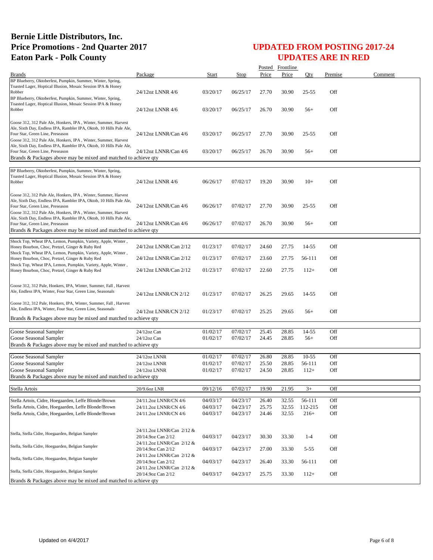|                                                                                                                                                                                                                                             |                                                 |                      |                      |                | Posted Frontline |                  |            |         |
|---------------------------------------------------------------------------------------------------------------------------------------------------------------------------------------------------------------------------------------------|-------------------------------------------------|----------------------|----------------------|----------------|------------------|------------------|------------|---------|
| <b>Brands</b>                                                                                                                                                                                                                               | Package                                         | Start                | Stop                 | Price          | Price            | Oty              | Premise    | Comment |
| BP Blueberry, Oktoberfest, Pumpkin, Summer, Winter, Spring,<br>Toasted Lager, Hoptical Illusion, Mosaic Session IPA & Honey<br>Robber<br>BP Blueberry, Oktoberfest, Pumpkin, Summer, Winter, Spring,                                        | 24/12oz LNNR 4/6                                | 03/20/17             | 06/25/17             | 27.70          | 30.90            | $25 - 55$        | Off        |         |
| Toasted Lager, Hoptical Illusion, Mosaic Session IPA & Honey<br>Robber                                                                                                                                                                      | 24/12oz LNNR 4/6                                | 03/20/17             | 06/25/17             | 26.70          | 30.90            | $56+$            | Off        |         |
| Goose 312, 312 Pale Ale, Honkers, IPA, Winter, Summer, Harvest<br>Ale, Sixth Day, Endless IPA, Rambler IPA, Oktob, 10 Hills Pale Ale,<br>Four Star, Green Line, Preseason<br>Goose 312, 312 Pale Ale, Honkers, IPA, Winter, Summer, Harvest | 24/12oz LNNR/Can 4/6                            | 03/20/17             | 06/25/17             | 27.70          | 30.90            | $25 - 55$        | Off        |         |
| Ale, Sixth Day, Endless IPA, Rambler IPA, Oktob, 10 Hills Pale Ale,<br>Four Star, Green Line, Preseason<br>Brands & Packages above may be mixed and matched to achieve qty                                                                  | 24/12oz LNNR/Can 4/6                            | 03/20/17             | 06/25/17             | 26.70          | 30.90            | $56+$            | Off        |         |
|                                                                                                                                                                                                                                             |                                                 |                      |                      |                |                  |                  |            |         |
| BP Blueberry, Oktoberfest, Pumpkin, Summer, Winter, Spring,<br>Toasted Lager, Hoptical Illusion, Mosaic Session IPA & Honey<br>Robber                                                                                                       | 24/12oz LNNR 4/6                                | 06/26/17             | 07/02/17             | 19.20          | 30.90            | $10+$            | Off        |         |
| Goose 312, 312 Pale Ale, Honkers, IPA, Winter, Summer, Harvest<br>Ale, Sixth Day, Endless IPA, Rambler IPA, Oktob, 10 Hills Pale Ale,<br>Four Star, Green Line, Preseason<br>Goose 312, 312 Pale Ale, Honkers, IPA, Winter, Summer, Harvest | 24/12oz LNNR/Can 4/6                            | 06/26/17             | 07/02/17             | 27.70          | 30.90            | $25 - 55$        | Off        |         |
| Ale, Sixth Day, Endless IPA, Rambler IPA, Oktob, 10 Hills Pale Ale,<br>Four Star, Green Line, Preseason<br>Brands & Packages above may be mixed and matched to achieve qty                                                                  | 24/12oz LNNR/Can 4/6                            | 06/26/17             | 07/02/17             | 26.70          | 30.90            | $56+$            | Off        |         |
| Shock Top, Wheat IPA, Lemon, Pumpkin, Variety, Apple, Winter,<br>Honey Bourbon, Choc, Pretzel, Ginger & Ruby Red                                                                                                                            | 24/12oz LNNR/Can 2/12                           | 01/23/17             | 07/02/17             | 24.60          | 27.75            | 14-55            | Off        |         |
| Shock Top, Wheat IPA, Lemon, Pumpkin, Variety, Apple, Winter,<br>Honey Bourbon, Choc, Pretzel, Ginger & Ruby Red<br>Shock Top, Wheat IPA, Lemon, Pumpkin, Variety, Apple, Winter,                                                           | 24/12oz LNNR/Can 2/12                           | 01/23/17             | 07/02/17             | 23.60          | 27.75            | 56-111           | Off        |         |
| Honey Bourbon, Choc, Pretzel, Ginger & Ruby Red                                                                                                                                                                                             | 24/12oz LNNR/Can 2/12                           | 01/23/17             | 07/02/17             | 22.60          | 27.75            | $112+$           | Off        |         |
| Goose 312, 312 Pale, Honkers, IPA, Winter, Summer, Fall, Harvest<br>Ale, Endless IPA, Winter, Four Star, Green Line, Seasonals                                                                                                              | 24/12oz LNNR/CN 2/12                            | 01/23/17             | 07/02/17             | 26.25          | 29.65            | 14-55            | Off        |         |
| Goose 312, 312 Pale, Honkers, IPA, Winter, Summer, Fall, Harvest<br>Ale, Endless IPA, Winter, Four Star, Green Line, Seasonals                                                                                                              | 24/12oz LNNR/CN 2/12                            | 01/23/17             | 07/02/17             | 25.25          | 29.65            | $56+$            | Off        |         |
| Brands & Packages above may be mixed and matched to achieve qty                                                                                                                                                                             |                                                 |                      |                      |                |                  |                  |            |         |
| Goose Seasonal Sampler                                                                                                                                                                                                                      | 24/12oz Can                                     | 01/02/17             | 07/02/17             | 25.45          | 28.85            | 14-55            | Off        |         |
| Goose Seasonal Sampler                                                                                                                                                                                                                      | $24/12$ oz Can                                  | 01/02/17             | 07/02/17             | 24.45          | 28.85            | $56+$            | Off        |         |
| Brands & Packages above may be mixed and matched to achieve qty                                                                                                                                                                             |                                                 |                      |                      |                |                  |                  |            |         |
|                                                                                                                                                                                                                                             |                                                 |                      |                      |                |                  |                  |            |         |
| Goose Seasonal Sampler                                                                                                                                                                                                                      | 24/12oz LNNR                                    | 01/02/17             | 07/02/17             | 26.80          | 28.85            | $10 - 55$        | Off        |         |
| Goose Seasonal Sampler<br>Goose Seasonal Sampler                                                                                                                                                                                            | 24/12oz LNNR<br>24/12oz LNNR                    | 01/02/17<br>01/02/17 | 07/02/17<br>07/02/17 | 25.50<br>24.50 | 28.85<br>28.85   | 56-111<br>$112+$ | Off<br>Off |         |
| Brands & Packages above may be mixed and matched to achieve qty                                                                                                                                                                             |                                                 |                      |                      |                |                  |                  |            |         |
| Stella Artois                                                                                                                                                                                                                               | 20/9.6oz LNR                                    | 09/12/16             | 07/02/17             | 19.90          | 21.95            | $3+$             | Off        |         |
|                                                                                                                                                                                                                                             | 24/11.2oz LNNR/CN 4/6                           | 04/03/17             | 04/23/17             | 26.40          | 32.55            | 56-111           | Off        |         |
| Stella Artois, Cidre, Hoegaarden, Leffe Blonde/Brown<br>Stella Artois, Cidre, Hoegaarden, Leffe Blonde/Brown                                                                                                                                | 24/11.2oz LNNR/CN 4/6                           | 04/03/17             | 04/23/17             | 25.75          | 32.55            | 112-215          | Off        |         |
| Stella Artois, Cidre, Hoegaarden, Leffe Blonde/Brown                                                                                                                                                                                        | 24/11.2oz LNNR/CN 4/6                           | 04/03/17             | 04/23/17             | 24.46          | 32.55            | $216+$           | Off        |         |
|                                                                                                                                                                                                                                             |                                                 |                      |                      |                |                  |                  |            |         |
| Stella, Stella Cidre, Hoegaarden, Belgian Sampler                                                                                                                                                                                           | 24/11.2oz LNNR/Can 2/12 &<br>20/14.9oz Can 2/12 | 04/03/17             | 04/23/17             | 30.30          | 33.30            | $1 - 4$          | Off        |         |
| Stella, Stella Cidre, Hoegaarden, Belgian Sampler                                                                                                                                                                                           | 24/11.2oz LNNR/Can 2/12 &<br>20/14.9oz Can 2/12 | 04/03/17             | 04/23/17             | 27.00          | 33.30            | $5 - 55$         | Off        |         |
| Stella, Stella Cidre, Hoegaarden, Belgian Sampler                                                                                                                                                                                           | 24/11.2oz LNNR/Can 2/12 &<br>20/14.9oz Can 2/12 | 04/03/17             | 04/23/17             | 26.40          | 33.30            | 56-111           | Off        |         |
| Stella, Stella Cidre, Hoegaarden, Belgian Sampler                                                                                                                                                                                           | 24/11.2oz LNNR/Can 2/12 &<br>20/14.9oz Can 2/12 | 04/03/17             | 04/23/17             | 25.75          | 33.30            | $112+$           | Off        |         |
| Brands & Packages above may be mixed and matched to achieve qty                                                                                                                                                                             |                                                 |                      |                      |                |                  |                  |            |         |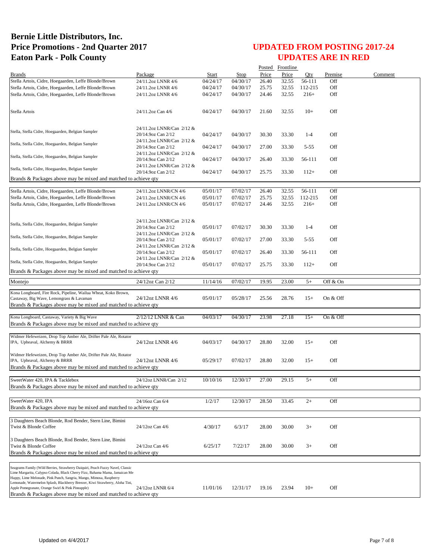|                                                                                                                                                                                                                                                                                                                       |                                                                              |          |             |       | Posted Frontline |          |            |         |
|-----------------------------------------------------------------------------------------------------------------------------------------------------------------------------------------------------------------------------------------------------------------------------------------------------------------------|------------------------------------------------------------------------------|----------|-------------|-------|------------------|----------|------------|---------|
| <b>Brands</b>                                                                                                                                                                                                                                                                                                         | Package                                                                      | Start    | <b>Stop</b> | Price | Price            | Qty      | Premise    | Comment |
| Stella Artois, Cidre, Hoegaarden, Leffe Blonde/Brown                                                                                                                                                                                                                                                                  | 24/11.2oz LNNR 4/6                                                           | 04/24/17 | 04/30/17    | 26.40 | 32.55            | 56-111   | Off        |         |
| Stella Artois, Cidre, Hoegaarden, Leffe Blonde/Brown                                                                                                                                                                                                                                                                  | 24/11.2oz LNNR 4/6                                                           | 04/24/17 | 04/30/17    | 25.75 | 32.55            | 112-215  | Off        |         |
| Stella Artois, Cidre, Hoegaarden, Leffe Blonde/Brown                                                                                                                                                                                                                                                                  | 24/11.2oz LNNR 4/6                                                           | 04/24/17 | 04/30/17    | 24.46 | 32.55            | $216+$   | Off        |         |
| Stella Artois                                                                                                                                                                                                                                                                                                         | 24/11.2oz Can 4/6                                                            | 04/24/17 | 04/30/17    | 21.60 | 32.55            | $10+$    | Off        |         |
| Stella, Stella Cidre, Hoegaarden, Belgian Sampler                                                                                                                                                                                                                                                                     | 24/11.2oz LNNR/Can 2/12 &<br>20/14.9oz Can 2/12<br>24/11.2oz LNNR/Can 2/12 & | 04/24/17 | 04/30/17    | 30.30 | 33.30            | $1-4$    | Off        |         |
| Stella, Stella Cidre, Hoegaarden, Belgian Sampler                                                                                                                                                                                                                                                                     | 20/14.9oz Can 2/12<br>24/11.2oz LNNR/Can 2/12 &                              | 04/24/17 | 04/30/17    | 27.00 | 33.30            | $5 - 55$ | Off        |         |
| Stella, Stella Cidre, Hoegaarden, Belgian Sampler                                                                                                                                                                                                                                                                     | 20/14.9oz Can 2/12                                                           | 04/24/17 | 04/30/17    | 26.40 | 33.30            | 56-111   | Off        |         |
| Stella, Stella Cidre, Hoegaarden, Belgian Sampler                                                                                                                                                                                                                                                                     | 24/11.2oz LNNR/Can 2/12 &<br>20/14.9oz Can 2/12                              | 04/24/17 | 04/30/17    | 25.75 | 33.30            | $112+$   | Off        |         |
| Brands & Packages above may be mixed and matched to achieve qty                                                                                                                                                                                                                                                       |                                                                              |          |             |       |                  |          |            |         |
| Stella Artois, Cidre, Hoegaarden, Leffe Blonde/Brown                                                                                                                                                                                                                                                                  | 24/11.2oz LNNR/CN 4/6                                                        | 05/01/17 | 07/02/17    | 26.40 | 32.55            | 56-111   | Off        |         |
| Stella Artois, Cidre, Hoegaarden, Leffe Blonde/Brown                                                                                                                                                                                                                                                                  | 24/11.2oz LNNR/CN 4/6                                                        | 05/01/17 | 07/02/17    | 25.75 | 32.55            | 112-215  | Off        |         |
| Stella Artois, Cidre, Hoegaarden, Leffe Blonde/Brown                                                                                                                                                                                                                                                                  | 24/11.2oz LNNR/CN 4/6                                                        | 05/01/17 | 07/02/17    | 24.46 | 32.55            | $216+$   | Off        |         |
|                                                                                                                                                                                                                                                                                                                       |                                                                              |          |             |       |                  |          |            |         |
| Stella, Stella Cidre, Hoegaarden, Belgian Sampler                                                                                                                                                                                                                                                                     | 24/11.2oz LNNR/Can 2/12 &<br>20/14.9oz Can 2/12                              | 05/01/17 | 07/02/17    | 30.30 | 33.30            | $1-4$    | Off        |         |
| Stella, Stella Cidre, Hoegaarden, Belgian Sampler                                                                                                                                                                                                                                                                     | 24/11.2oz LNNR/Can 2/12 &<br>20/14.9oz Can 2/12                              | 05/01/17 | 07/02/17    | 27.00 | 33.30            | $5 - 55$ | Off        |         |
| Stella, Stella Cidre, Hoegaarden, Belgian Sampler                                                                                                                                                                                                                                                                     | 24/11.2oz LNNR/Can 2/12 &<br>20/14.9oz Can 2/12                              | 05/01/17 | 07/02/17    | 26.40 | 33.30            | 56-111   | Off        |         |
| Stella, Stella Cidre, Hoegaarden, Belgian Sampler                                                                                                                                                                                                                                                                     | 24/11.2oz LNNR/Can 2/12 &<br>20/14.9oz Can 2/12                              | 05/01/17 | 07/02/17    | 25.75 | 33.30            | $112+$   | Off        |         |
| Brands & Packages above may be mixed and matched to achieve qty                                                                                                                                                                                                                                                       |                                                                              |          |             |       |                  |          |            |         |
| Montejo                                                                                                                                                                                                                                                                                                               | 24/12oz Can 2/12                                                             | 11/14/16 | 07/02/17    | 19.95 | 23.00            | $5+$     | Off & On   |         |
|                                                                                                                                                                                                                                                                                                                       |                                                                              |          |             |       |                  |          |            |         |
| Kona Longboard, Fire Rock, Pipeline, Wailua Wheat, Koko Brown,<br>Castaway, Big Wave, Lemongrass & Lavaman<br>Brands & Packages above may be mixed and matched to achieve qty                                                                                                                                         | 24/12oz LNNR 4/6                                                             | 05/01/17 | 05/28/17    | 25.56 | 28.76            | $15+$    | On & Off   |         |
|                                                                                                                                                                                                                                                                                                                       | 2/12/12 LNNR & Can                                                           | 04/03/17 |             |       |                  |          |            |         |
| Kona Longboard, Castaway, Variety & Big Wave<br>Brands & Packages above may be mixed and matched to achieve qty                                                                                                                                                                                                       |                                                                              |          | 04/30/17    | 23.98 | 27.18            | $15+$    | On $&$ Off |         |
|                                                                                                                                                                                                                                                                                                                       |                                                                              |          |             |       |                  |          |            |         |
| Widmer Hefeweizen, Drop Top Amber Ale, Drifter Pale Ale, Rotator<br>IPA, Upheaval, Alchemy & BRRR                                                                                                                                                                                                                     | 24/12oz LNNR 4/6                                                             | 04/03/17 | 04/30/17    | 28.80 | 32.00            | $15+$    | Off        |         |
| Widmer Hefeweizen, Drop Top Amber Ale, Drifter Pale Ale, Rotator<br>IPA, Upheaval, Alchemy & BRRR<br>Brands & Packages above may be mixed and matched to achieve qty                                                                                                                                                  | 24/12oz LNNR 4/6                                                             | 05/29/17 | 07/02/17    | 28.80 | 32.00            | $15+$    | Off        |         |
| SweetWater 420, IPA & Tacklebox                                                                                                                                                                                                                                                                                       | 24/12oz LNNR/Can 2/12                                                        | 10/10/16 | 12/30/17    | 27.00 | 29.15            | $5+$     | Off        |         |
| Brands & Packages above may be mixed and matched to achieve gty                                                                                                                                                                                                                                                       |                                                                              |          |             |       |                  |          |            |         |
|                                                                                                                                                                                                                                                                                                                       |                                                                              |          |             |       |                  |          |            |         |
| SweetWater 420, IPA                                                                                                                                                                                                                                                                                                   | 24/16oz Can 6/4                                                              | 1/2/17   | 12/30/17    | 28.50 | 33.45            | $2+$     | Off        |         |
| Brands & Packages above may be mixed and matched to achieve qty                                                                                                                                                                                                                                                       |                                                                              |          |             |       |                  |          |            |         |
|                                                                                                                                                                                                                                                                                                                       |                                                                              |          |             |       |                  |          |            |         |
| 3 Daughters Beach Blonde, Rod Bender, Stern Line, Bimini                                                                                                                                                                                                                                                              |                                                                              |          |             |       |                  |          |            |         |
| Twist & Blonde Coffee                                                                                                                                                                                                                                                                                                 | 24/12oz Can 4/6                                                              | 4/30/17  | 6/3/17      | 28.00 | 30.00            | $3+$     | Off        |         |
| 3 Daughters Beach Blonde, Rod Bender, Stern Line, Bimini                                                                                                                                                                                                                                                              |                                                                              |          |             |       |                  |          |            |         |
| Twist & Blonde Coffee<br>Brands & Packages above may be mixed and matched to achieve qty                                                                                                                                                                                                                              | 24/12oz Can 4/6                                                              | 6/25/17  | 7/22/17     | 28.00 | 30.00            | $3+$     | Off        |         |
|                                                                                                                                                                                                                                                                                                                       |                                                                              |          |             |       |                  |          |            |         |
| Seagrams Family (Wild Berries, Strawberry Daiquiri, Peach Fuzzy Navel, Classic<br>Lime Margarita, Calypso Colada, Black Cherry Fizz, Bahama Mama, Jamaican Me<br>Happy, Lime Melonade, Pink Punch, Sangria, Mango, Mimosa, Raspberry<br>Lemonade, Watermelon Splash, Blackberry Breezer, Kiwi Strawberry, Aloha Tini, |                                                                              |          |             |       |                  |          |            |         |
| Apple Pomegranate, Orange Swirl & Pink Pineapple)<br>Brands & Packages above may be mixed and matched to achieve qty                                                                                                                                                                                                  | 24/12oz LNNR 6/4                                                             | 11/01/16 | 12/31/17    | 19.16 | 23.94            | $10+$    | Off        |         |